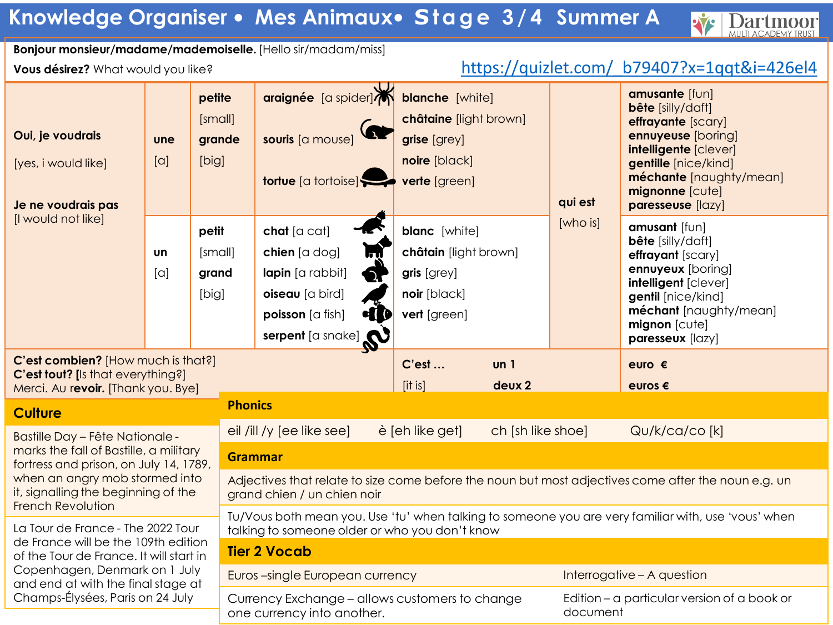## **Knowledge Organiser** • **Mes Animaux**• **S t a g e 3 / 4 Summer A**

## **Bonjour monsieur/madame/mademoiselle.** [Hello sir/madam/miss]

## **Vous désirez?** What would you like? [https://quizlet.com/\\_b79407?x=1qqt&i=426el4](https://quizlet.com/_b79407?x=1qqt&i=426el4)

Y

**Dartmoor** 

| Oui, je voudrais<br>[yes, i would like]<br>Je ne voudrais pas                                                                                                                                                            | petite<br>[small]<br>grande<br>une<br>$\lbrack \circ \rbrack$<br>[big]<br>petit<br>[small]<br>Un<br>$[\alpha]$<br>grand<br>[big] |  |                                                                                                                                                       | araignée [a spider] blanche [white]<br>souris [a mouse]<br><b>tortue</b> [a tortoise]                                | châtaine [light brown]<br>grise [grey]<br>noire [black]<br>verte [green]                     |                            | qui est  | amusante [fun]<br><b>bête</b> [silly/daft]<br>effrayante [scary]<br>ennuyeuse [boring]<br>intelligente [clever]<br>gentille [nice/kind]<br>méchante [naughty/mean]<br>mignonne [cute]<br>paresseuse [lazy] |  |  |
|--------------------------------------------------------------------------------------------------------------------------------------------------------------------------------------------------------------------------|----------------------------------------------------------------------------------------------------------------------------------|--|-------------------------------------------------------------------------------------------------------------------------------------------------------|----------------------------------------------------------------------------------------------------------------------|----------------------------------------------------------------------------------------------|----------------------------|----------|------------------------------------------------------------------------------------------------------------------------------------------------------------------------------------------------------------|--|--|
| [I would not like]                                                                                                                                                                                                       |                                                                                                                                  |  |                                                                                                                                                       | chat [a cat]<br>chien [a dog]<br>lapin [a rabbit]<br>oiseau [a bird]<br>HID<br>poisson [a fish]<br>serpent [a snake] | <b>blanc</b> [white]<br>châtain [light brown]<br>gris [grey]<br>noir [black]<br>vert [green] |                            | [who is] | amusant [fun]<br><b>bête</b> [silly/daft]<br>effrayant [scary]<br>ennuyeux [boring]<br>intelligent [clever]<br>gentil [nice/kind]<br>méchant [naughty/mean]<br>mignon [cute]<br>paresseux [lazy]           |  |  |
| C'est combien? [How much is that?]<br>C'est tout? [Is that everything?]<br>Merci. Au revoir. [Thank you. Bye]                                                                                                            |                                                                                                                                  |  |                                                                                                                                                       |                                                                                                                      | C'est<br>$[$ it is $]$                                                                       | un <sub>1</sub><br>deux 2  |          | euro $\epsilon$<br>euros $\epsilon$                                                                                                                                                                        |  |  |
| <b>Culture</b>                                                                                                                                                                                                           |                                                                                                                                  |  | <b>Phonics</b>                                                                                                                                        |                                                                                                                      |                                                                                              |                            |          |                                                                                                                                                                                                            |  |  |
| <b>Bastille Day - Fête Nationale -</b><br>marks the fall of Bastille, a military<br>fortress and prison, on July 14, 1789,<br>when an angry mob stormed into<br>it, signalling the beginning of the<br>French Revolution |                                                                                                                                  |  |                                                                                                                                                       | eil /ill /y [ee like see]                                                                                            | è [eh like get]                                                                              | ch [sh like shoe]          |          | Qu/k/ca/co [k]                                                                                                                                                                                             |  |  |
|                                                                                                                                                                                                                          |                                                                                                                                  |  | <b>Grammar</b>                                                                                                                                        |                                                                                                                      |                                                                                              |                            |          |                                                                                                                                                                                                            |  |  |
|                                                                                                                                                                                                                          |                                                                                                                                  |  | Adjectives that relate to size come before the noun but most adjectives come after the noun e.g. un<br>grand chien / un chien noir                    |                                                                                                                      |                                                                                              |                            |          |                                                                                                                                                                                                            |  |  |
| La Tour de France - The 2022 Tour                                                                                                                                                                                        |                                                                                                                                  |  | Tu/Vous both mean you. Use 'tu' when talking to someone you are very familiar with, use 'vous' when<br>talking to someone older or who you don't know |                                                                                                                      |                                                                                              |                            |          |                                                                                                                                                                                                            |  |  |
| de France will be the 109th edition<br>of the Tour de France. It will start in<br>Copenhagen, Denmark on 1 July<br>and end at with the final stage at                                                                    |                                                                                                                                  |  | <b>Tier 2 Vocab</b>                                                                                                                                   |                                                                                                                      |                                                                                              |                            |          |                                                                                                                                                                                                            |  |  |
|                                                                                                                                                                                                                          |                                                                                                                                  |  |                                                                                                                                                       | Euros-single European currency                                                                                       |                                                                                              | Interrogative - A question |          |                                                                                                                                                                                                            |  |  |
| Champs-Élysées, Paris on 24 July                                                                                                                                                                                         |                                                                                                                                  |  | Currency Exchange - allows customers to change<br>Edition – a particular version of a book or<br>document<br>one currency into another.               |                                                                                                                      |                                                                                              |                            |          |                                                                                                                                                                                                            |  |  |